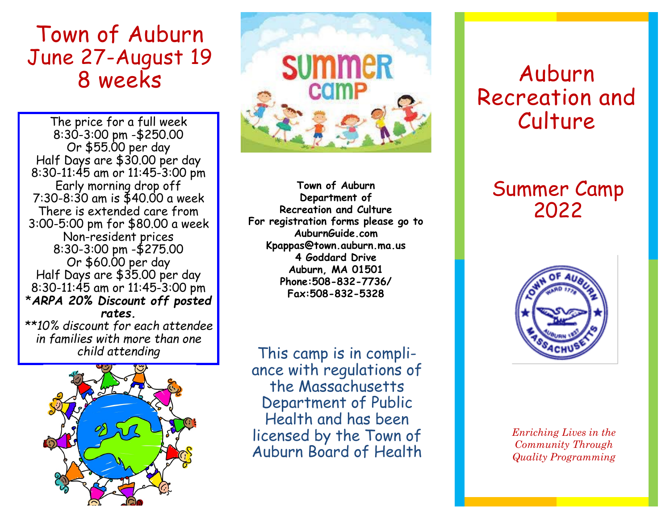## Town of Auburn June 27-August 19 8 weeks

The price for a full week 8:30-3:00 pm -\$250.00 Or \$55.00 per day Half Days are \$30.00 per day 8:30-11:45 am or 11:45-3:00 pm Early morning drop off 7:30-8:30 am is \$40.00 a week There is extended care from 3:00-5:00 pm for \$80.00 a week Non-resident prices 8:30-3:00 pm -\$275.00 Or \$60.00 per day Half Days are \$35.00 per day 8:30-11:45 am or 11:45-3:00 pm \**ARPA 20% Discount off posted rates. \*\*10% discount for each attendee in families with more than one* 





**Town of Auburn Department of Recreation and Culture For registration forms please go to AuburnGuide.com Kpappas@town.auburn.ma.us 4 Goddard Drive Auburn, MA 01501 Phone:508-832-7736/ Fax:508-832-5328** 

This camp is in compliance with regulations of the Massachusetts Department of Public Health and has been licensed by the Town of Auburn Board of Health

# Auburn Recreation and Culture

## Summer Camp 2022



*Enriching Lives in the Community Through Quality Programming*